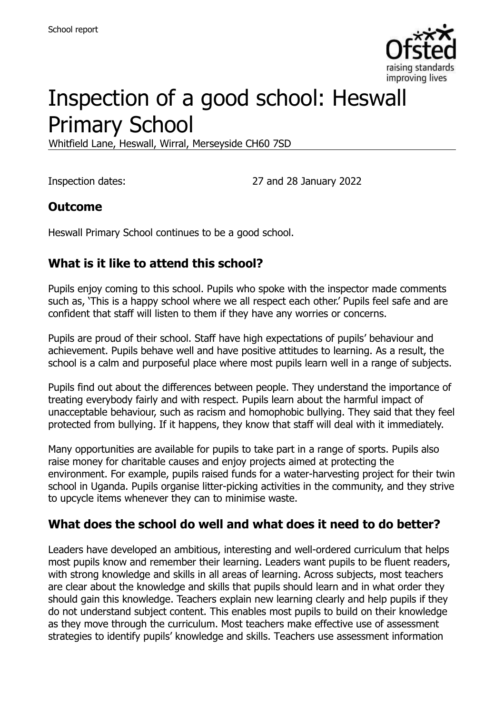

# Inspection of a good school: Heswall Primary School

Whitfield Lane, Heswall, Wirral, Merseyside CH60 7SD

Inspection dates: 27 and 28 January 2022

#### **Outcome**

Heswall Primary School continues to be a good school.

#### **What is it like to attend this school?**

Pupils enjoy coming to this school. Pupils who spoke with the inspector made comments such as, 'This is a happy school where we all respect each other.' Pupils feel safe and are confident that staff will listen to them if they have any worries or concerns.

Pupils are proud of their school. Staff have high expectations of pupils' behaviour and achievement. Pupils behave well and have positive attitudes to learning. As a result, the school is a calm and purposeful place where most pupils learn well in a range of subjects.

Pupils find out about the differences between people. They understand the importance of treating everybody fairly and with respect. Pupils learn about the harmful impact of unacceptable behaviour, such as racism and homophobic bullying. They said that they feel protected from bullying. If it happens, they know that staff will deal with it immediately.

Many opportunities are available for pupils to take part in a range of sports. Pupils also raise money for charitable causes and enjoy projects aimed at protecting the environment. For example, pupils raised funds for a water-harvesting project for their twin school in Uganda. Pupils organise litter-picking activities in the community, and they strive to upcycle items whenever they can to minimise waste.

#### **What does the school do well and what does it need to do better?**

Leaders have developed an ambitious, interesting and well-ordered curriculum that helps most pupils know and remember their learning. Leaders want pupils to be fluent readers, with strong knowledge and skills in all areas of learning. Across subjects, most teachers are clear about the knowledge and skills that pupils should learn and in what order they should gain this knowledge. Teachers explain new learning clearly and help pupils if they do not understand subject content. This enables most pupils to build on their knowledge as they move through the curriculum. Most teachers make effective use of assessment strategies to identify pupils' knowledge and skills. Teachers use assessment information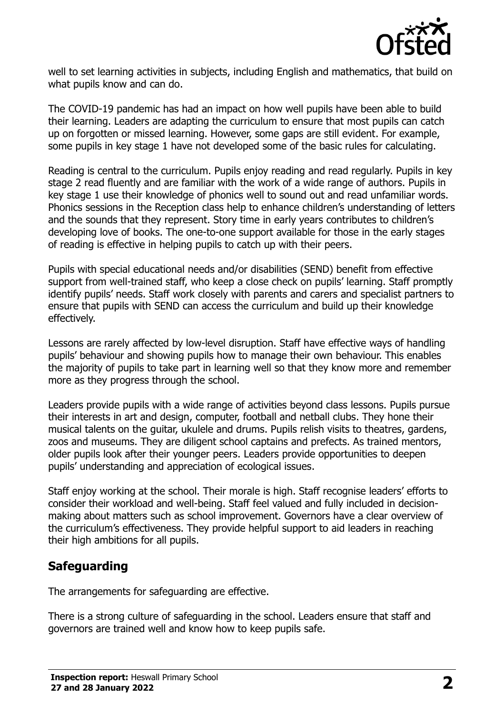

well to set learning activities in subjects, including English and mathematics, that build on what pupils know and can do.

The COVID-19 pandemic has had an impact on how well pupils have been able to build their learning. Leaders are adapting the curriculum to ensure that most pupils can catch up on forgotten or missed learning. However, some gaps are still evident. For example, some pupils in key stage 1 have not developed some of the basic rules for calculating.

Reading is central to the curriculum. Pupils enjoy reading and read regularly. Pupils in key stage 2 read fluently and are familiar with the work of a wide range of authors. Pupils in key stage 1 use their knowledge of phonics well to sound out and read unfamiliar words. Phonics sessions in the Reception class help to enhance children's understanding of letters and the sounds that they represent. Story time in early years contributes to children's developing love of books. The one-to-one support available for those in the early stages of reading is effective in helping pupils to catch up with their peers.

Pupils with special educational needs and/or disabilities (SEND) benefit from effective support from well-trained staff, who keep a close check on pupils' learning. Staff promptly identify pupils' needs. Staff work closely with parents and carers and specialist partners to ensure that pupils with SEND can access the curriculum and build up their knowledge effectively.

Lessons are rarely affected by low-level disruption. Staff have effective ways of handling pupils' behaviour and showing pupils how to manage their own behaviour. This enables the majority of pupils to take part in learning well so that they know more and remember more as they progress through the school.

Leaders provide pupils with a wide range of activities beyond class lessons. Pupils pursue their interests in art and design, computer, football and netball clubs. They hone their musical talents on the guitar, ukulele and drums. Pupils relish visits to theatres, gardens, zoos and museums. They are diligent school captains and prefects. As trained mentors, older pupils look after their younger peers. Leaders provide opportunities to deepen pupils' understanding and appreciation of ecological issues.

Staff enjoy working at the school. Their morale is high. Staff recognise leaders' efforts to consider their workload and well-being. Staff feel valued and fully included in decisionmaking about matters such as school improvement. Governors have a clear overview of the curriculum's effectiveness. They provide helpful support to aid leaders in reaching their high ambitions for all pupils.

# **Safeguarding**

The arrangements for safeguarding are effective.

There is a strong culture of safeguarding in the school. Leaders ensure that staff and governors are trained well and know how to keep pupils safe.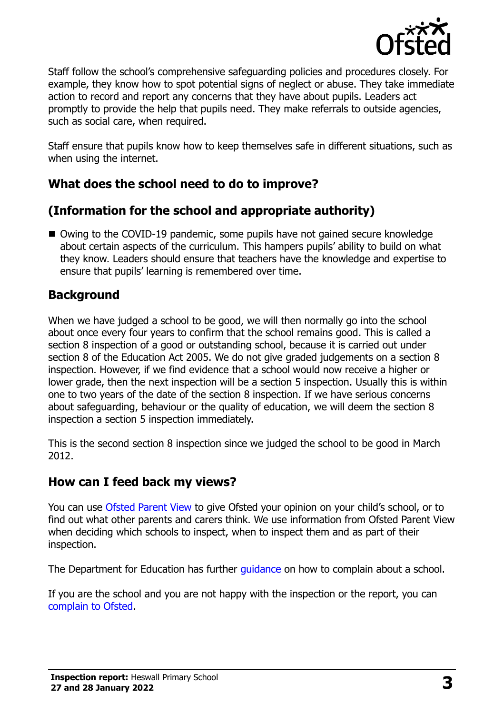

Staff follow the school's comprehensive safeguarding policies and procedures closely. For example, they know how to spot potential signs of neglect or abuse. They take immediate action to record and report any concerns that they have about pupils. Leaders act promptly to provide the help that pupils need. They make referrals to outside agencies, such as social care, when required.

Staff ensure that pupils know how to keep themselves safe in different situations, such as when using the internet.

# **What does the school need to do to improve?**

# **(Information for the school and appropriate authority)**

■ Owing to the COVID-19 pandemic, some pupils have not gained secure knowledge about certain aspects of the curriculum. This hampers pupils' ability to build on what they know. Leaders should ensure that teachers have the knowledge and expertise to ensure that pupils' learning is remembered over time.

# **Background**

When we have judged a school to be good, we will then normally go into the school about once every four years to confirm that the school remains good. This is called a section 8 inspection of a good or outstanding school, because it is carried out under section 8 of the Education Act 2005. We do not give graded judgements on a section 8 inspection. However, if we find evidence that a school would now receive a higher or lower grade, then the next inspection will be a section 5 inspection. Usually this is within one to two years of the date of the section 8 inspection. If we have serious concerns about safeguarding, behaviour or the quality of education, we will deem the section 8 inspection a section 5 inspection immediately.

This is the second section 8 inspection since we judged the school to be good in March 2012.

# **How can I feed back my views?**

You can use [Ofsted Parent View](https://parentview.ofsted.gov.uk/) to give Ofsted your opinion on your child's school, or to find out what other parents and carers think. We use information from Ofsted Parent View when deciding which schools to inspect, when to inspect them and as part of their inspection.

The Department for Education has further quidance on how to complain about a school.

If you are the school and you are not happy with the inspection or the report, you can [complain to Ofsted.](https://www.gov.uk/complain-ofsted-report)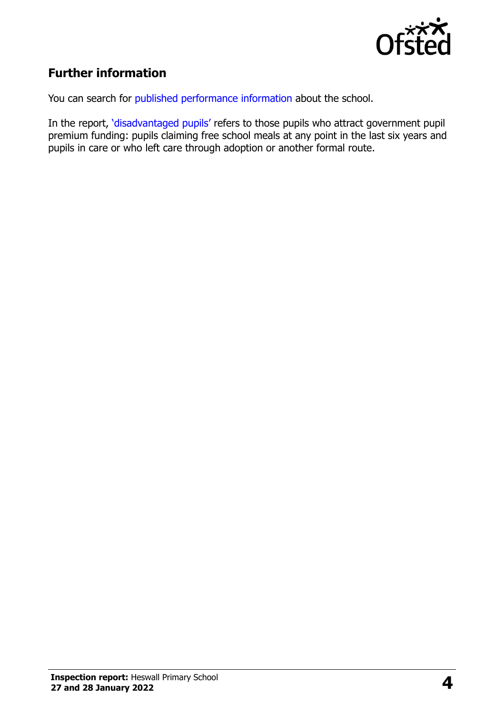

# **Further information**

You can search for [published performance information](http://www.compare-school-performance.service.gov.uk/) about the school.

In the report, '[disadvantaged pupils](http://www.gov.uk/guidance/pupil-premium-information-for-schools-and-alternative-provision-settings)' refers to those pupils who attract government pupil premium funding: pupils claiming free school meals at any point in the last six years and pupils in care or who left care through adoption or another formal route.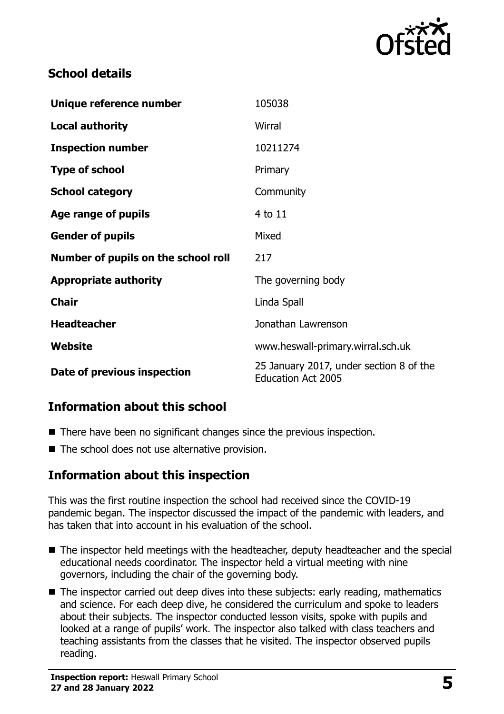

## **School details**

| Unique reference number             | 105038                                                               |
|-------------------------------------|----------------------------------------------------------------------|
| <b>Local authority</b>              | Wirral                                                               |
| <b>Inspection number</b>            | 10211274                                                             |
| <b>Type of school</b>               | Primary                                                              |
| <b>School category</b>              | Community                                                            |
| Age range of pupils                 | 4 to 11                                                              |
| <b>Gender of pupils</b>             | Mixed                                                                |
| Number of pupils on the school roll | 217                                                                  |
| <b>Appropriate authority</b>        | The governing body                                                   |
| <b>Chair</b>                        | Linda Spall                                                          |
| <b>Headteacher</b>                  | Jonathan Lawrenson                                                   |
| <b>Website</b>                      | www.heswall-primary.wirral.sch.uk                                    |
| Date of previous inspection         | 25 January 2017, under section 8 of the<br><b>Education Act 2005</b> |

# **Information about this school**

- There have been no significant changes since the previous inspection.
- The school does not use alternative provision.

#### **Information about this inspection**

This was the first routine inspection the school had received since the COVID-19 pandemic began. The inspector discussed the impact of the pandemic with leaders, and has taken that into account in his evaluation of the school.

- The inspector held meetings with the headteacher, deputy headteacher and the special educational needs coordinator. The inspector held a virtual meeting with nine governors, including the chair of the governing body.
- The inspector carried out deep dives into these subjects: early reading, mathematics and science. For each deep dive, he considered the curriculum and spoke to leaders about their subjects. The inspector conducted lesson visits, spoke with pupils and looked at a range of pupils' work. The inspector also talked with class teachers and teaching assistants from the classes that he visited. The inspector observed pupils reading.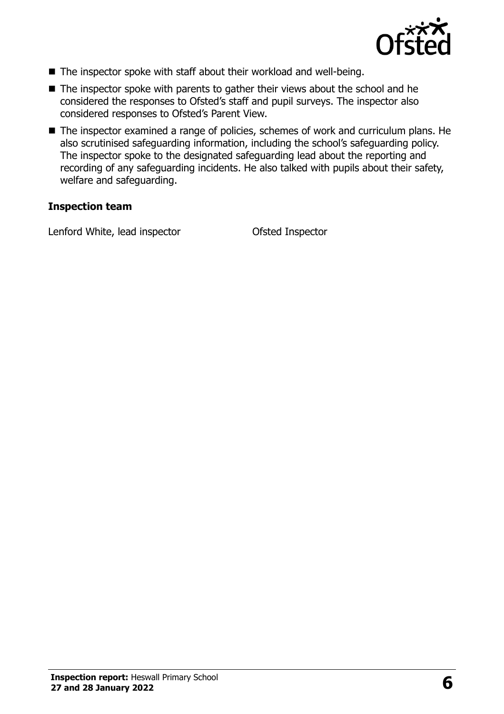

- The inspector spoke with staff about their workload and well-being.
- The inspector spoke with parents to gather their views about the school and he considered the responses to Ofsted's staff and pupil surveys. The inspector also considered responses to Ofsted's Parent View.
- The inspector examined a range of policies, schemes of work and curriculum plans. He also scrutinised safeguarding information, including the school's safeguarding policy. The inspector spoke to the designated safeguarding lead about the reporting and recording of any safeguarding incidents. He also talked with pupils about their safety, welfare and safeguarding.

#### **Inspection team**

Lenford White, lead inspector Ofsted Inspector